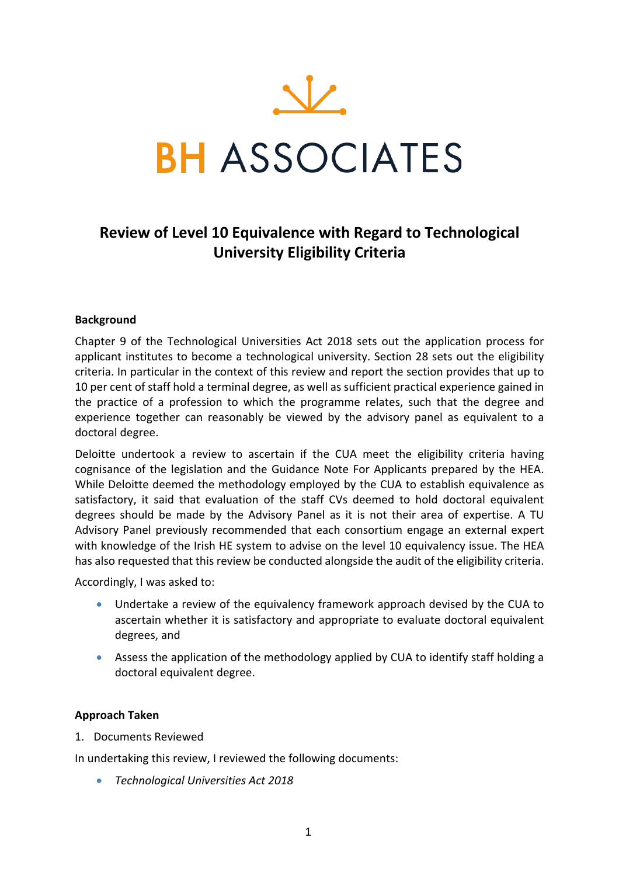

# **Review of Level 10 Equivalence with Regard to Technological University Eligibility Criteria**

## **Background**

Chapter 9 of the Technological Universities Act 2018 sets out the application process for applicant institutes to become a technological university. Section 28 sets out the eligibility criteria. In particular in the context of this review and report the section provides that up to 10 per cent of staff hold a terminal degree, as well as sufficient practical experience gained in the practice of a profession to which the programme relates, such that the degree and experience together can reasonably be viewed by the advisory panel as equivalent to a doctoral degree.

Deloitte undertook a review to ascertain if the CUA meet the eligibility criteria having cognisance of the legislation and the Guidance Note For Applicants prepared by the HEA. While Deloitte deemed the methodology employed by the CUA to establish equivalence as satisfactory, it said that evaluation of the staff CVs deemed to hold doctoral equivalent degrees should be made by the Advisory Panel as it is not their area of expertise. A TU Advisory Panel previously recommended that each consortium engage an external expert with knowledge of the Irish HE system to advise on the level 10 equivalency issue. The HEA has also requested that this review be conducted alongside the audit of the eligibility criteria.

Accordingly, I was asked to:

- Undertake a review of the equivalency framework approach devised by the CUA to ascertain whether it is satisfactory and appropriate to evaluate doctoral equivalent degrees, and
- Assess the application of the methodology applied by CUA to identify staff holding a doctoral equivalent degree.

#### **Approach Taken**

1. Documents Reviewed

In undertaking this review, I reviewed the following documents:

• *Technological Universities Act 2018*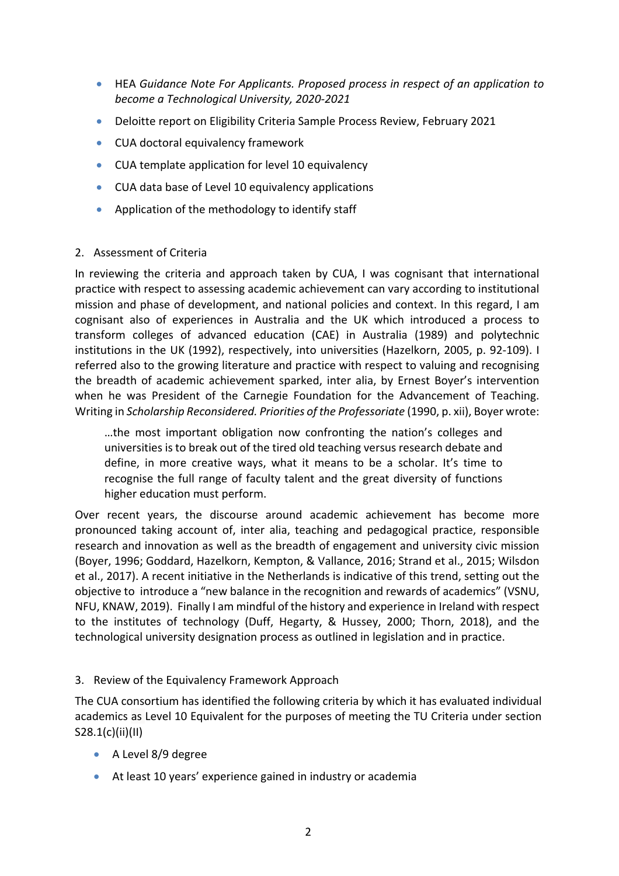- HEA *Guidance Note For Applicants. Proposed process in respect of an application to become a Technological University, 2020-2021*
- Deloitte report on Eligibility Criteria Sample Process Review, February 2021
- CUA doctoral equivalency framework
- CUA template application for level 10 equivalency
- CUA data base of Level 10 equivalency applications
- Application of the methodology to identify staff

## 2. Assessment of Criteria

In reviewing the criteria and approach taken by CUA, I was cognisant that international practice with respect to assessing academic achievement can vary according to institutional mission and phase of development, and national policies and context. In this regard, I am cognisant also of experiences in Australia and the UK which introduced a process to transform colleges of advanced education (CAE) in Australia (1989) and polytechnic institutions in the UK (1992), respectively, into universities (Hazelkorn, 2005, p. 92-109). I referred also to the growing literature and practice with respect to valuing and recognising the breadth of academic achievement sparked, inter alia, by Ernest Boyer's intervention when he was President of the Carnegie Foundation for the Advancement of Teaching. Writing in *Scholarship Reconsidered. Priorities of the Professoriate* (1990, p. xii), Boyer wrote:

…the most important obligation now confronting the nation's colleges and universities is to break out of the tired old teaching versus research debate and define, in more creative ways, what it means to be a scholar. It's time to recognise the full range of faculty talent and the great diversity of functions higher education must perform.

Over recent years, the discourse around academic achievement has become more pronounced taking account of, inter alia, teaching and pedagogical practice, responsible research and innovation as well as the breadth of engagement and university civic mission (Boyer, 1996; Goddard, Hazelkorn, Kempton, & Vallance, 2016; Strand et al., 2015; Wilsdon et al., 2017). A recent initiative in the Netherlands is indicative of this trend, setting out the objective to introduce a "new balance in the recognition and rewards of academics" (VSNU, NFU, KNAW, 2019). Finally I am mindful of the history and experience in Ireland with respect to the institutes of technology (Duff, Hegarty, & Hussey, 2000; Thorn, 2018), and the technological university designation process as outlined in legislation and in practice.

# 3. Review of the Equivalency Framework Approach

The CUA consortium has identified the following criteria by which it has evaluated individual academics as Level 10 Equivalent for the purposes of meeting the TU Criteria under section S28.1(c)(ii)(II)

- A Level 8/9 degree
- At least 10 years' experience gained in industry or academia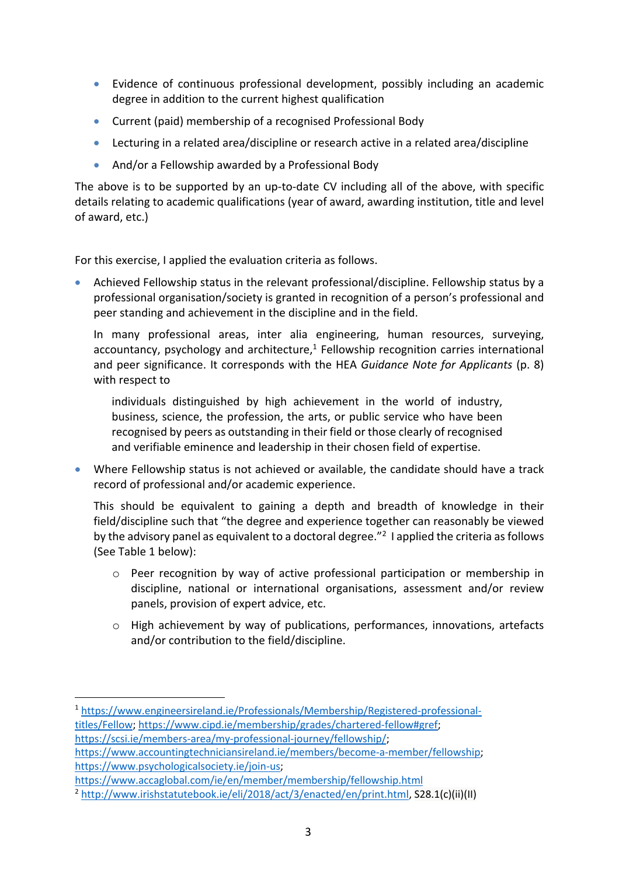- Evidence of continuous professional development, possibly including an academic degree in addition to the current highest qualification
- Current (paid) membership of a recognised Professional Body
- Lecturing in a related area/discipline or research active in a related area/discipline
- And/or a Fellowship awarded by a Professional Body

The above is to be supported by an up-to-date CV including all of the above, with specific details relating to academic qualifications (year of award, awarding institution, title and level of award, etc.)

For this exercise, I applied the evaluation criteria as follows.

• Achieved Fellowship status in the relevant professional/discipline. Fellowship status by a professional organisation/society is granted in recognition of a person's professional and peer standing and achievement in the discipline and in the field.

In many professional areas, inter alia engineering, human resources, surveying, accountancy, psychology and architecture, $1$  Fellowship recognition carries international and peer significance. It corresponds with the HEA *Guidance Note for Applicants* (p. 8) with respect to

individuals distinguished by high achievement in the world of industry, business, science, the profession, the arts, or public service who have been recognised by peers as outstanding in their field or those clearly of recognised and verifiable eminence and leadership in their chosen field of expertise.

• Where Fellowship status is not achieved or available, the candidate should have a track record of professional and/or academic experience.

This should be equivalent to gaining a depth and breadth of knowledge in their field/discipline such that "the degree and experience together can reasonably be viewed by the advisory panel as equivalent to a doctoral degree."<sup>2</sup> I applied the criteria as follows (See Table 1 below):

- o Peer recognition by way of active professional participation or membership in discipline, national or international organisations, assessment and/or review panels, provision of expert advice, etc.
- o High achievement by way of publications, performances, innovations, artefacts and/or contribution to the field/discipline.

<sup>1</sup> https://www.engineersireland.ie/Professionals/Membership/Registered-professionaltitles/Fellow; https://www.cipd.ie/membership/grades/chartered-fellow#gref; https://scsi.ie/members-area/my-professional-journey/fellowship/;

https://www.accountingtechniciansireland.ie/members/become-a-member/fellowship; https://www.psychologicalsociety.ie/join-us;

https://www.accaglobal.com/ie/en/member/membership/fellowship.html<br><sup>2</sup> http://www.irishstatutebook.ie/eli/2018/act/3/enacted/en/print.html, S28.1(c)(ii)(II)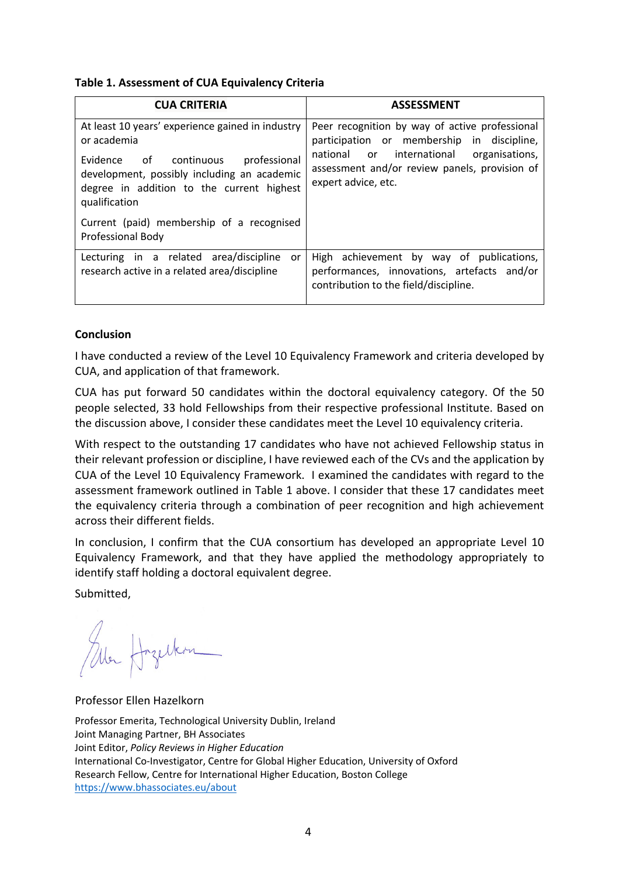## **Table 1. Assessment of CUA Equivalency Criteria**

| <b>CUA CRITERIA</b>                                                   | <b>ASSESSMENT</b>                              |
|-----------------------------------------------------------------------|------------------------------------------------|
| At least 10 years' experience gained in industry                      | Peer recognition by way of active professional |
| or academia                                                           | participation or membership in discipline,     |
| professional                                                          | or international                               |
| Evidence of continuous                                                | organisations,                                 |
| development, possibly including an academic                           | national                                       |
| degree in addition to the current highest                             | assessment and/or review panels, provision of  |
| qualification                                                         | expert advice, etc.                            |
| Current (paid) membership of a recognised<br><b>Professional Body</b> |                                                |
| Lecturing in a related area/discipline                                | High achievement by way of publications,       |
| or                                                                    | performances, innovations, artefacts and/or    |
| research active in a related area/discipline                          | contribution to the field/discipline.          |

# **Conclusion**

I have conducted a review of the Level 10 Equivalency Framework and criteria developed by CUA, and application of that framework.

CUA has put forward 50 candidates within the doctoral equivalency category. Of the 50 people selected, 33 hold Fellowships from their respective professional Institute. Based on the discussion above, I consider these candidates meet the Level 10 equivalency criteria.

With respect to the outstanding 17 candidates who have not achieved Fellowship status in their relevant profession or discipline, I have reviewed each of the CVs and the application by CUA of the Level 10 Equivalency Framework. I examined the candidates with regard to the assessment framework outlined in Table 1 above. I consider that these 17 candidates meet the equivalency criteria through a combination of peer recognition and high achievement across their different fields.

In conclusion, I confirm that the CUA consortium has developed an appropriate Level 10 Equivalency Framework, and that they have applied the methodology appropriately to identify staff holding a doctoral equivalent degree.

Submitted,

Ale Hozelkon

Professor Ellen Hazelkorn

Professor Emerita, Technological University Dublin, Ireland Joint Managing Partner, BH Associates Joint Editor, *Policy Reviews in Higher Education* International Co-Investigator, Centre for Global Higher Education, University of Oxford Research Fellow, Centre for International Higher Education, Boston College https://www.bhassociates.eu/about